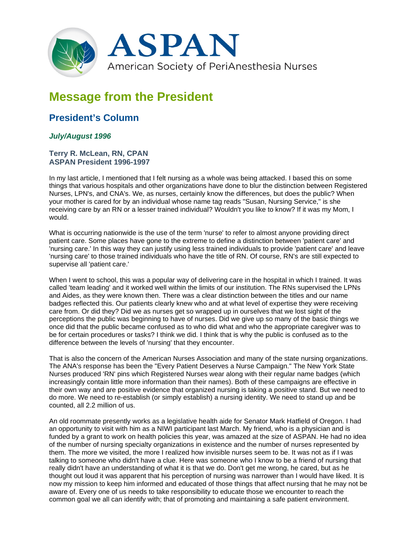

## **Message from the President**

## **President's Column**

## *July/August 1996*

## **Terry R. McLean, RN, CPAN ASPAN President 1996-1997**

In my last article, I mentioned that I felt nursing as a whole was being attacked. I based this on some things that various hospitals and other organizations have done to blur the distinction between Registered Nurses, LPN's, and CNA's. We, as nurses, certainly know the differences, but does the public? When your mother is cared for by an individual whose name tag reads "Susan, Nursing Service," is she receiving care by an RN or a lesser trained individual? Wouldn't you like to know? If it was my Mom, I would.

What is occurring nationwide is the use of the term 'nurse' to refer to almost anyone providing direct patient care. Some places have gone to the extreme to define a distinction between 'patient care' and 'nursing care.' In this way they can justify using less trained individuals to provide 'patient care' and leave 'nursing care' to those trained individuals who have the title of RN. Of course, RN's are still expected to supervise all 'patient care.'

When I went to school, this was a popular way of delivering care in the hospital in which I trained. It was called 'team leading' and it worked well within the limits of our institution. The RNs supervised the LPNs and Aides, as they were known then. There was a clear distinction between the titles and our name badges reflected this. Our patients clearly knew who and at what level of expertise they were receiving care from. Or did they? Did we as nurses get so wrapped up in ourselves that we lost sight of the perceptions the public was beginning to have of nurses. Did we give up so many of the basic things we once did that the public became confused as to who did what and who the appropriate caregiver was to be for certain procedures or tasks? I think we did. I think that is why the public is confused as to the difference between the levels of 'nursing' that they encounter.

That is also the concern of the American Nurses Association and many of the state nursing organizations. The ANA's response has been the "Every Patient Deserves a Nurse Campaign." The New York State Nurses produced 'RN' pins which Registered Nurses wear along with their regular name badges (which increasingly contain little more information than their names). Both of these campaigns are effective in their own way and are positive evidence that organized nursing is taking a positive stand. But we need to do more. We need to re-establish (or simply establish) a nursing identity. We need to stand up and be counted, all 2.2 million of us.

An old roommate presently works as a legislative health aide for Senator Mark Hatfield of Oregon. I had an opportunity to visit with him as a NIWI participant last March. My friend, who is a physician and is funded by a grant to work on health policies this year, was amazed at the size of ASPAN. He had no idea of the number of nursing specialty organizations in existence and the number of nurses represented by them. The more we visited, the more I realized how invisible nurses seem to be. It was not as if I was talking to someone who didn't have a clue. Here was someone who I know to be a friend of nursing that really didn't have an understanding of what it is that we do. Don't get me wrong, he cared, but as he thought out loud it was apparent that his perception of nursing was narrower than I would have liked. It is now my mission to keep him informed and educated of those things that affect nursing that he may not be aware of. Every one of us needs to take responsibility to educate those we encounter to reach the common goal we all can identify with; that of promoting and maintaining a safe patient environment.